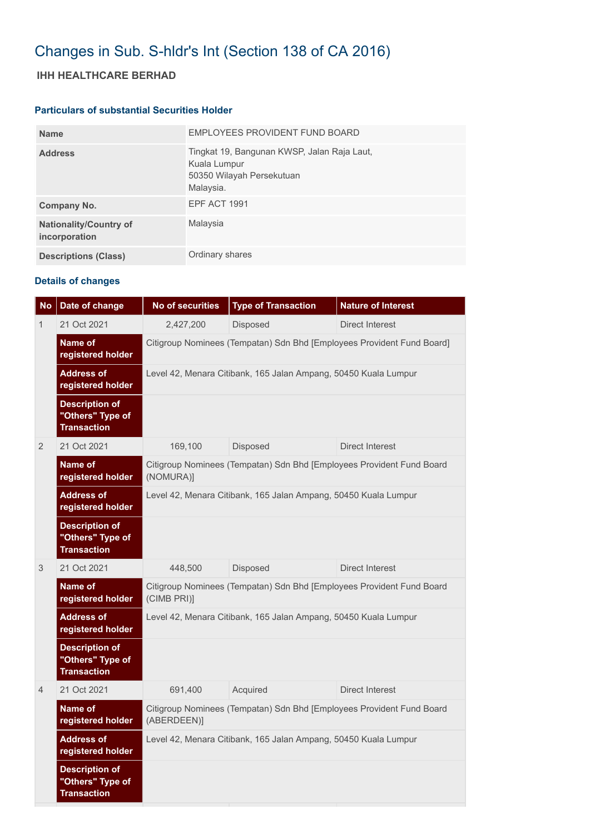# Changes in Sub. S-hldr's Int (Section 138 of CA 2016)

## **IHH HEALTHCARE BERHAD**

#### **Particulars of substantial Securities Holder**

| <b>Name</b>                                    | EMPLOYEES PROVIDENT FUND BOARD                                                                        |
|------------------------------------------------|-------------------------------------------------------------------------------------------------------|
| <b>Address</b>                                 | Tingkat 19, Bangunan KWSP, Jalan Raja Laut,<br>Kuala Lumpur<br>50350 Wilayah Persekutuan<br>Malaysia. |
| Company No.                                    | <b>EPF ACT 1991</b>                                                                                   |
| <b>Nationality/Country of</b><br>incorporation | Malaysia                                                                                              |
| <b>Descriptions (Class)</b>                    | Ordinary shares                                                                                       |

### **Details of changes**

| <b>No</b>      | Date of change                                                  | <b>No of securities</b>                                                              | <b>Type of Transaction</b> | <b>Nature of Interest</b> |  |  |  |
|----------------|-----------------------------------------------------------------|--------------------------------------------------------------------------------------|----------------------------|---------------------------|--|--|--|
| 1              | 21 Oct 2021                                                     | 2,427,200                                                                            | <b>Disposed</b>            | <b>Direct Interest</b>    |  |  |  |
|                | Name of<br>registered holder                                    | Citigroup Nominees (Tempatan) Sdn Bhd [Employees Provident Fund Board]               |                            |                           |  |  |  |
|                | <b>Address of</b><br>registered holder                          | Level 42, Menara Citibank, 165 Jalan Ampang, 50450 Kuala Lumpur                      |                            |                           |  |  |  |
|                | <b>Description of</b><br>"Others" Type of<br><b>Transaction</b> |                                                                                      |                            |                           |  |  |  |
| $\overline{2}$ | 21 Oct 2021                                                     | 169,100                                                                              | Disposed                   | <b>Direct Interest</b>    |  |  |  |
|                | Name of<br>registered holder                                    | Citigroup Nominees (Tempatan) Sdn Bhd [Employees Provident Fund Board<br>(NOMURA)]   |                            |                           |  |  |  |
|                | <b>Address of</b><br>registered holder                          | Level 42, Menara Citibank, 165 Jalan Ampang, 50450 Kuala Lumpur                      |                            |                           |  |  |  |
|                | <b>Description of</b><br>"Others" Type of<br><b>Transaction</b> |                                                                                      |                            |                           |  |  |  |
| 3              | 21 Oct 2021                                                     | 448,500                                                                              | Disposed                   | Direct Interest           |  |  |  |
|                | Name of<br>registered holder                                    | Citigroup Nominees (Tempatan) Sdn Bhd [Employees Provident Fund Board<br>(CIMB PRI)] |                            |                           |  |  |  |
|                | <b>Address of</b><br>registered holder                          | Level 42, Menara Citibank, 165 Jalan Ampang, 50450 Kuala Lumpur                      |                            |                           |  |  |  |
|                | <b>Description of</b><br>"Others" Type of<br><b>Transaction</b> |                                                                                      |                            |                           |  |  |  |
| $\overline{4}$ | 21 Oct 2021                                                     | 691,400                                                                              | Acquired                   | <b>Direct Interest</b>    |  |  |  |
|                | Name of<br>registered holder                                    | Citigroup Nominees (Tempatan) Sdn Bhd [Employees Provident Fund Board<br>(ABERDEEN)] |                            |                           |  |  |  |
|                | <b>Address of</b><br>registered holder                          | Level 42, Menara Citibank, 165 Jalan Ampang, 50450 Kuala Lumpur                      |                            |                           |  |  |  |
|                | <b>Description of</b><br>"Others" Type of<br><b>Transaction</b> |                                                                                      |                            |                           |  |  |  |